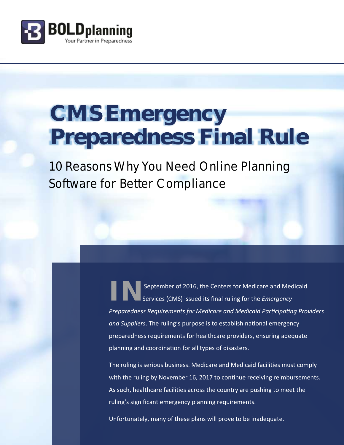

# **CMS Emergency Preparedness Final Rule**

10 Reasons Why You Need Online Planning Software for Better Compliance

> September of 2016, the Centers for Medicare and Medicaid Services (CMS) issued its final ruling for the *Emergency Preparedness Requirements for Medicare and Medicaid Participating Providers and Suppliers*. The ruling's purpose is to establish national emergency preparedness requirements for healthcare providers, ensuring adequate planning and coordination for all types of disasters.

The ruling is serious business. Medicare and Medicaid facilities must comply with the ruling by November 16, 2017 to continue receiving reimbursements. As such, healthcare facilities across the country are pushing to meet the ruling's significant emergency planning requirements.

Unfortunately, many of these plans will prove to be inadequate.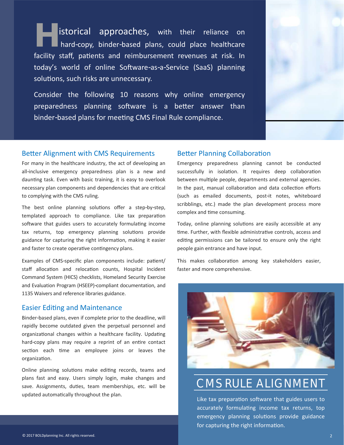**H** istorical approaches, with their reliance on hard-copy, binder-based plans, could place healthcare facility staff, patients and reimbursement revenues at risk. In today's world of online Software-as-a-Service (SaaS) planning solutions, such risks are unnecessary.

Consider the following 10 reasons why online emergency preparedness planning software is a better answer than binder-based plans for meeting CMS Final Rule compliance.



### Better Alignment with CMS Requirements

For many in the healthcare industry, the act of developing an all-inclusive emergency preparedness plan is a new and daunting task. Even with basic training, it is easy to overlook necessary plan components and dependencies that are critical to complying with the CMS ruling.

The best online planning solutions offer a step-by-step, templated approach to compliance. Like tax preparation software that guides users to accurately formulating income tax returns, top emergency planning solutions provide guidance for capturing the right information, making it easier and faster to create operative contingency plans.

Examples of CMS-specific plan components include: patient/ staff allocation and relocation counts, Hospital Incident Command System (HICS) checklists, Homeland Security Exercise and Evaluation Program (HSEEP)-compliant documentation, and 1135 Waivers and reference libraries guidance.

### Easier Editing and Maintenance

Binder-based plans, even if complete prior to the deadline, will rapidly become outdated given the perpetual personnel and organizational changes within a healthcare facility. Updating hard-copy plans may require a reprint of an entire contact section each time an employee joins or leaves the organization.

Online planning solutions make editing records, teams and plans fast and easy. Users simply login, make changes and save. Assignments, duties, team memberships, etc. will be updated automatically throughout the plan.

### Better Planning Collaboration

Emergency preparedness planning cannot be conducted successfully in isolation. It requires deep collaboration between multiple people, departments and external agencies. In the past, manual collaboration and data collection efforts (such as emailed documents, post-it notes, whiteboard scribblings, etc.) made the plan development process more complex and time consuming.

Today, online planning solutions are easily accessible at any time. Further, with flexible administrative controls, access and editing permissions can be tailored to ensure only the right people gain entrance and have input.

This makes collaboration among key stakeholders easier, faster and more comprehensive.



### CMS RULE ALIGNMENT

Like tax preparation software that guides users to accurately formulating income tax returns, top emergency planning solutions provide guidance for capturing the right information.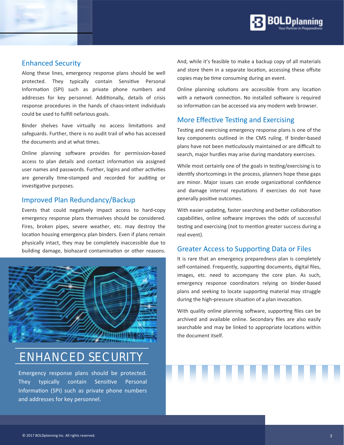

### Enhanced Security

Along these lines, emergency response plans should be well protected. They typically contain Sensitive Personal Information (SPI) such as private phone numbers and addresses for key personnel. Additionally, details of crisis response procedures in the hands of chaos-intent individuals could be used to fulfill nefarious goals.

Binder shelves have virtually no access limitations and safeguards. Further, there is no audit trail of who has accessed the documents and at what times.

Online planning software provides for permission-based access to plan details and contact information via assigned user names and passwords. Further, logins and other activities are generally time-stamped and recorded for auditing or investigative purposes.

### Improved Plan Redundancy/Backup

Events that could negatively impact access to hard-copy emergency response plans themselves should be considered. Fires, broken pipes, severe weather, etc. may destroy the location housing emergency plan binders. Even if plans remain physically intact, they may be completely inaccessible due to building damage, biohazard contamination or other reasons.



## ENHANCED SECURITY

Emergency response plans should be protected. They typically contain Sensitive Personal Information (SPI) such as private phone numbers and addresses for key personnel.

And, while it's feasible to make a backup copy of all materials and store them in a separate location, accessing these offsite copies may be time consuming during an event.

Online planning solutions are accessible from any location with a network connection. No installed software is required so information can be accessed via any modern web browser.

### More Effective Testing and Exercising

Testing and exercising emergency response plans is one of the key components outlined in the CMS ruling. If binder-based plans have not been meticulously maintained or are difficult to search, major hurdles may arise during mandatory exercises.

While most certainly one of the goals in testing/exercising is to identify shortcomings in the process, planners hope these gaps are minor. Major issues can erode organizational confidence and damage internal reputations if exercises do not have generally positive outcomes.

With easier updating, faster searching and better collaboration capabilities, online software improves the odds of successful testing and exercising (not to mention greater success during a real event).

### Greater Access to Supporting Data or Files

It is rare that an emergency preparedness plan is completely self-contained. Frequently, supporting documents, digital files, images, etc. need to accompany the core plan. As such, emergency response coordinators relying on binder-based plans and seeking to locate supporting material may struggle during the high-pressure situation of a plan invocation.

With quality online planning software, supporting files can be archived and available online. Secondary files are also easily searchable and may be linked to appropriate locations within the document itself.